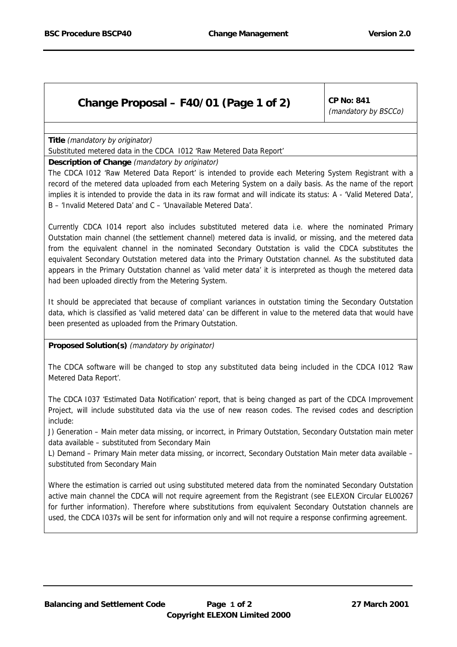# Substituted metered data in the CDCA I012 'Raw Metered Data Report'

### **Description of Change** (mandatory by originator)

The CDCA I012 'Raw Metered Data Report' is intended to provide each Metering System Registrant with a record of the metered data uploaded from each Metering System on a daily basis. As the name of the report implies it is intended to provide the data in its raw format and will indicate its status: A - 'Valid Metered Data', B – 'Invalid Metered Data' and C – 'Unavailable Metered Data'.

Currently CDCA I014 report also includes substituted metered data i.e. where the nominated Primary Outstation main channel (the settlement channel) metered data is invalid, or missing, and the metered data from the equivalent channel in the nominated Secondary Outstation is valid the CDCA substitutes the equivalent Secondary Outstation metered data into the Primary Outstation channel. As the substituted data appears in the Primary Outstation channel as 'valid meter data' it is interpreted as though the metered data had been uploaded directly from the Metering System.

It should be appreciated that because of compliant variances in outstation timing the Secondary Outstation data, which is classified as 'valid metered data' can be different in value to the metered data that would have been presented as uploaded from the Primary Outstation.

#### **Proposed Solution(s)** (mandatory by originator)

The CDCA software will be changed to stop any substituted data being included in the CDCA I012 'Raw Metered Data Report'.

The CDCA I037 'Estimated Data Notification' report, that is being changed as part of the CDCA Improvement Project, will include substituted data via the use of new reason codes. The revised codes and description include:

J) Generation – Main meter data missing, or incorrect, in Primary Outstation, Secondary Outstation main meter data available – substituted from Secondary Main

L) Demand – Primary Main meter data missing, or incorrect, Secondary Outstation Main meter data available – substituted from Secondary Main

Where the estimation is carried out using substituted metered data from the nominated Secondary Outstation active main channel the CDCA will not require agreement from the Registrant (see ELEXON Circular EL00267 for further information). Therefore where substitutions from equivalent Secondary Outstation channels are used, the CDCA I037s will be sent for information only and will not require a response confirming agreement.

**Title** (mandatory by originator)